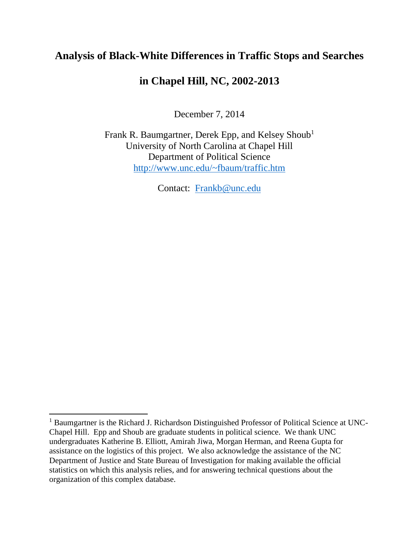# **Analysis of Black-White Differences in Traffic Stops and Searches**

# **in Chapel Hill, NC, 2002-2013**

December 7, 2014

Frank R. Baumgartner, Derek Epp, and Kelsey Shoub<sup>1</sup> University of North Carolina at Chapel Hill Department of Political Science <http://www.unc.edu/~fbaum/traffic.htm>

Contact: [Frankb@unc.edu](mailto:Frankb@unc.edu)

 $\overline{a}$ 

<sup>&</sup>lt;sup>1</sup> Baumgartner is the Richard J. Richardson Distinguished Professor of Political Science at UNC-Chapel Hill. Epp and Shoub are graduate students in political science. We thank UNC undergraduates Katherine B. Elliott, Amirah Jiwa, Morgan Herman, and Reena Gupta for assistance on the logistics of this project. We also acknowledge the assistance of the NC Department of Justice and State Bureau of Investigation for making available the official statistics on which this analysis relies, and for answering technical questions about the organization of this complex database.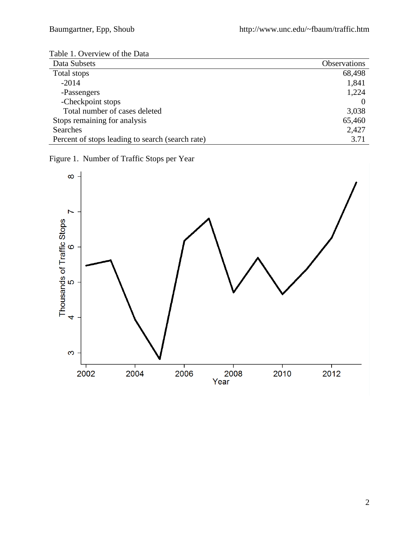| Table 1. Overview of the Data |  |
|-------------------------------|--|
|-------------------------------|--|

| Data Subsets                                     | <b>Observations</b> |
|--------------------------------------------------|---------------------|
| Total stops                                      | 68,498              |
| $-2014$                                          | 1,841               |
| -Passengers                                      | 1,224               |
| -Checkpoint stops                                |                     |
| Total number of cases deleted                    | 3,038               |
| Stops remaining for analysis                     | 65,460              |
| Searches                                         | 2,427               |
| Percent of stops leading to search (search rate) | 3.71                |

Figure 1. Number of Traffic Stops per Year

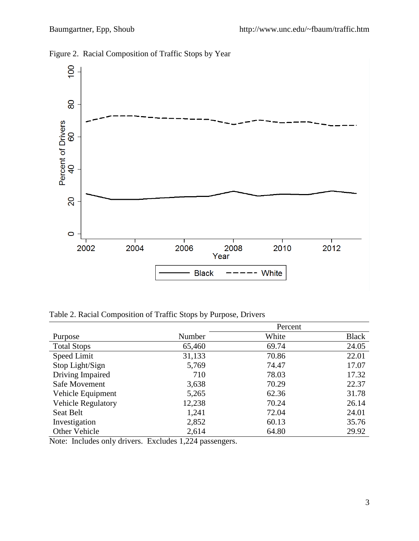

Figure 2. Racial Composition of Traffic Stops by Year

Table 2. Racial Composition of Traffic Stops by Purpose, Drivers

|                           |        | Percent |              |
|---------------------------|--------|---------|--------------|
| Purpose                   | Number | White   | <b>Black</b> |
| <b>Total Stops</b>        | 65,460 | 69.74   | 24.05        |
| Speed Limit               | 31,133 | 70.86   | 22.01        |
| Stop Light/Sign           | 5,769  | 74.47   | 17.07        |
| Driving Impaired          | 710    | 78.03   | 17.32        |
| Safe Movement             | 3,638  | 70.29   | 22.37        |
| Vehicle Equipment         | 5,265  | 62.36   | 31.78        |
| <b>Vehicle Regulatory</b> | 12,238 | 70.24   | 26.14        |
| Seat Belt                 | 1,241  | 72.04   | 24.01        |
| Investigation             | 2,852  | 60.13   | 35.76        |
| Other Vehicle             | 2,614  | 64.80   | 29.92        |

Note: Includes only drivers. Excludes 1,224 passengers.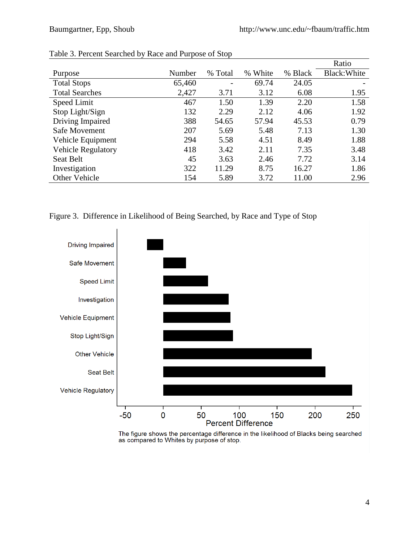|                           |        |         |               |         | Ratio        |
|---------------------------|--------|---------|---------------|---------|--------------|
| Purpose                   | Number | % Total | White<br>$\%$ | % Black | Black: White |
| <b>Total Stops</b>        | 65,460 |         | 69.74         | 24.05   |              |
| <b>Total Searches</b>     | 2,427  | 3.71    | 3.12          | 6.08    | 1.95         |
| Speed Limit               | 467    | 1.50    | 1.39          | 2.20    | 1.58         |
| Stop Light/Sign           | 132    | 2.29    | 2.12          | 4.06    | 1.92         |
| Driving Impaired          | 388    | 54.65   | 57.94         | 45.53   | 0.79         |
| Safe Movement             | 207    | 5.69    | 5.48          | 7.13    | 1.30         |
| Vehicle Equipment         | 294    | 5.58    | 4.51          | 8.49    | 1.88         |
| <b>Vehicle Regulatory</b> | 418    | 3.42    | 2.11          | 7.35    | 3.48         |
| <b>Seat Belt</b>          | 45     | 3.63    | 2.46          | 7.72    | 3.14         |
| Investigation             | 322    | 11.29   | 8.75          | 16.27   | 1.86         |
| Other Vehicle             | 154    | 5.89    | 3.72          | 11.00   | 2.96         |

#### Table 3. Percent Searched by Race and Purpose of Stop





The figure shows the percentage difference in the likelihood of Blacks being searched<br>as compared to Whites by purpose of stop.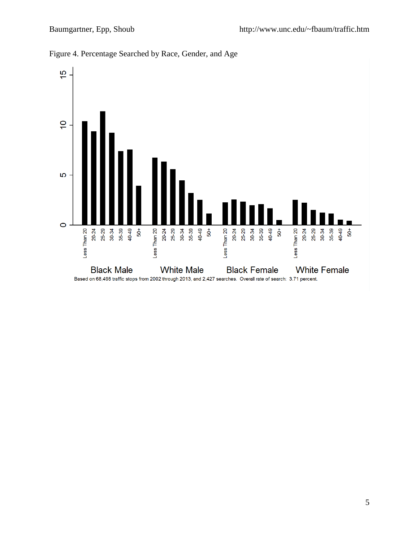

Figure 4. Percentage Searched by Race, Gender, and Age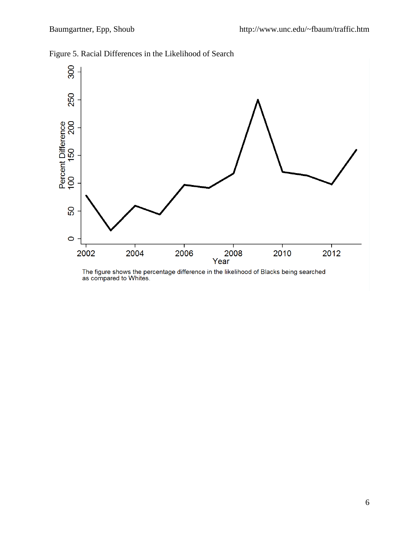

Figure 5. Racial Differences in the Likelihood of Search

The figure shows the percentage difference in the likelihood of Blacks being searched as compared to Whites.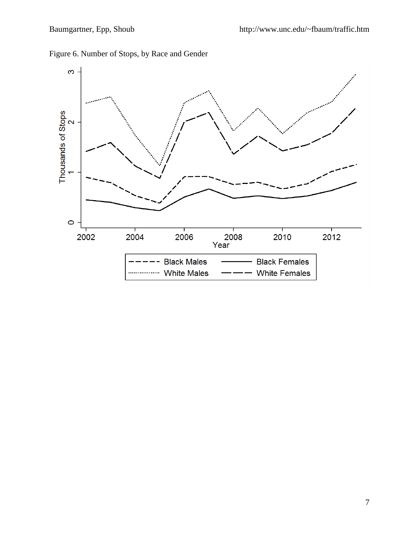

Figure 6. Number of Stops, by Race and Gender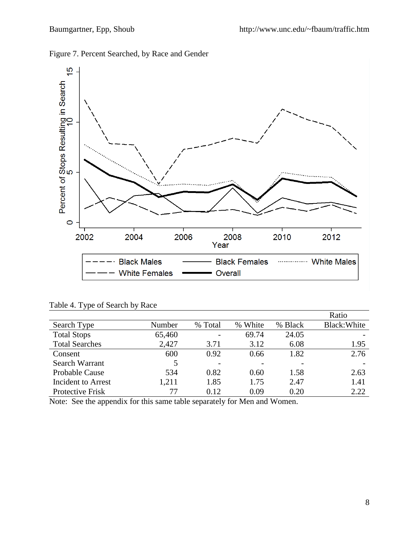



Table 4. Type of Search by Race

|                           |        |         |         |         | Ratio        |
|---------------------------|--------|---------|---------|---------|--------------|
| Search Type               | Number | % Total | % White | % Black | Black: White |
| <b>Total Stops</b>        | 65,460 |         | 69.74   | 24.05   |              |
| <b>Total Searches</b>     | 2,427  | 3.71    | 3.12    | 6.08    | 1.95         |
| Consent                   | 600    | 0.92    | 0.66    | 1.82    | 2.76         |
| Search Warrant            | 5      |         |         |         |              |
| Probable Cause            | 534    | 0.82    | 0.60    | 1.58    | 2.63         |
| <b>Incident to Arrest</b> | 1,211  | 1.85    | 1.75    | 2.47    | 1.41         |
| Protective Frisk          |        | 0.12    | 0.09    | 0.20    | 2.22         |

Note: See the appendix for this same table separately for Men and Women.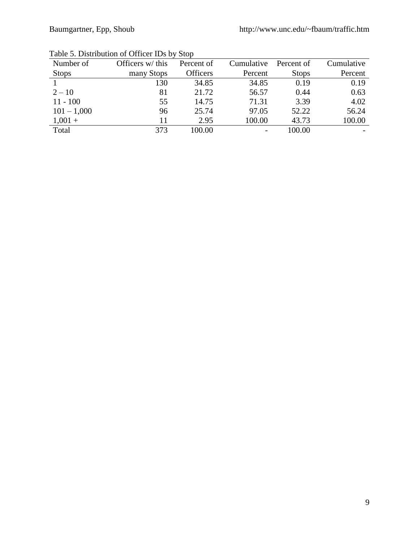| Number of     | Officers w/ this | Percent of      | Cumulative | Percent of   | Cumulative |
|---------------|------------------|-----------------|------------|--------------|------------|
| <b>Stops</b>  | many Stops       | <b>Officers</b> | Percent    | <b>Stops</b> | Percent    |
|               | 130              | 34.85           | 34.85      | 0.19         | 0.19       |
| $2 - 10$      | 81               | 21.72           | 56.57      | 0.44         | 0.63       |
| $11 - 100$    | 55               | 14.75           | 71.31      | 3.39         | 4.02       |
| $101 - 1,000$ | 96               | 25.74           | 97.05      | 52.22        | 56.24      |
| $1,001 +$     | 11               | 2.95            | 100.00     | 43.73        | 100.00     |
| Total         | 373              | 100.00          |            | 100.00       |            |

Table 5. Distribution of Officer IDs by Stop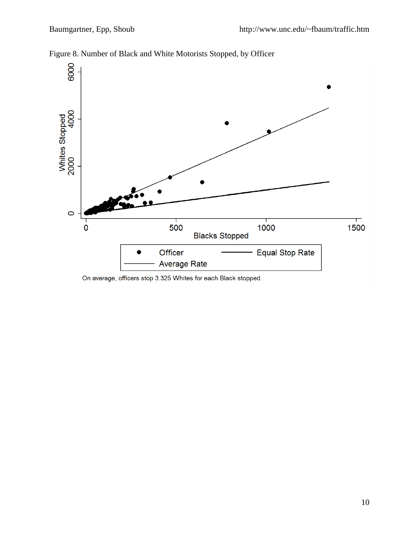

Figure 8. Number of Black and White Motorists Stopped, by Officer

On average, officers stop 3.325 Whites for each Black stopped.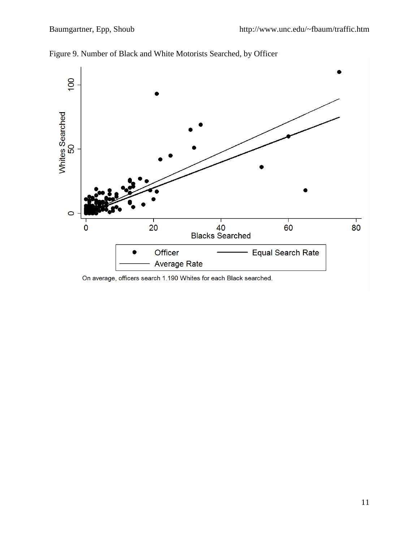

Figure 9. Number of Black and White Motorists Searched, by Officer

On average, officers search 1.190 Whites for each Black searched.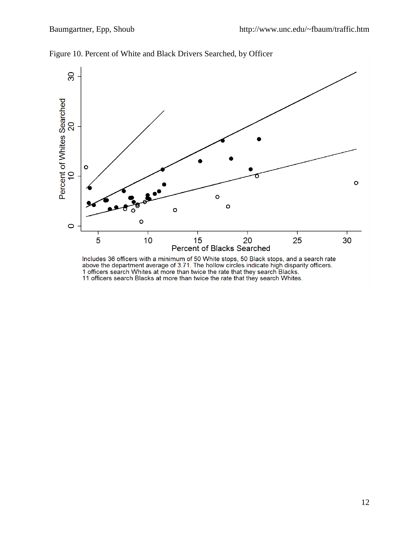

Figure 10. Percent of White and Black Drivers Searched, by Officer

Includes 36 officers with a minimum of 50 White stops, 50 Black stops, and a search rate<br>above the department average of 3.71. The hollow circles indicate high disparity officers.<br>1 officers search Whites at more than twic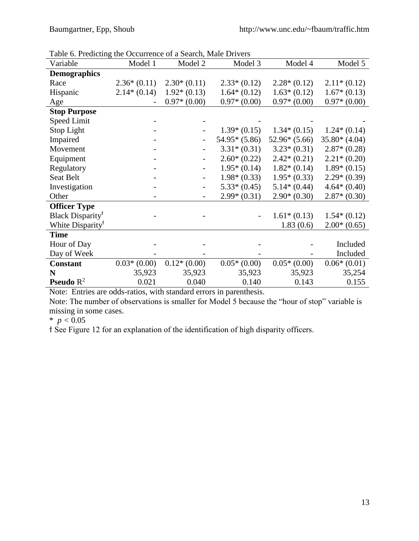| Table 6. Predicting the Occurrence of a Search, Male Dirvers |               |                          |                |                |                |
|--------------------------------------------------------------|---------------|--------------------------|----------------|----------------|----------------|
| Variable                                                     | Model 1       | Model 2                  | Model 3        | Model 4        | Model 5        |
| <b>Demographics</b>                                          |               |                          |                |                |                |
| Race                                                         | $2.36*(0.11)$ | $2.30*(0.11)$            | $2.33*(0.12)$  | $2.28*(0.12)$  | $2.11*(0.12)$  |
| Hispanic                                                     | $2.14*(0.14)$ | $1.92*(0.13)$            | $1.64*(0.12)$  | $1.63*(0.12)$  | $1.67*(0.13)$  |
| Age                                                          |               | $0.97*(0.00)$            | $0.97*(0.00)$  | $0.97*(0.00)$  | $0.97*(0.00)$  |
| <b>Stop Purpose</b>                                          |               |                          |                |                |                |
| Speed Limit                                                  |               |                          |                |                |                |
| Stop Light                                                   |               | $\overline{\phantom{0}}$ | $1.39*(0.15)$  | $1.34*(0.15)$  | $1.24*(0.14)$  |
| Impaired                                                     |               |                          | $54.95*(5.86)$ | $52.96*(5.66)$ | $35.80*(4.04)$ |
| Movement                                                     |               |                          | $3.31*(0.31)$  | $3.23*(0.31)$  | $2.87*(0.28)$  |
| Equipment                                                    |               | $\overline{\phantom{0}}$ | $2.60*(0.22)$  | $2.42*(0.21)$  | $2.21*(0.20)$  |
| Regulatory                                                   |               | $\overline{\phantom{a}}$ | $1.95*(0.14)$  | $1.82*(0.14)$  | $1.89*(0.15)$  |
| Seat Belt                                                    |               | $\overline{\phantom{0}}$ | $1.98*(0.33)$  | $1.95*(0.33)$  | $2.29*(0.39)$  |
| Investigation                                                |               | $\overline{\phantom{a}}$ | $5.33*(0.45)$  | $5.14*(0.44)$  | $4.64*(0.40)$  |
| Other                                                        |               | $\overline{\phantom{0}}$ | $2.99*(0.31)$  | $2.90*(0.30)$  | $2.87*(0.30)$  |
| <b>Officer Type</b>                                          |               |                          |                |                |                |
| Black Disparity <sup>†</sup>                                 |               |                          |                | $1.61*(0.13)$  | $1.54*(0.12)$  |
| White Disparity <sup>†</sup>                                 |               |                          |                | 1.83(0.6)      | $2.00*(0.65)$  |
| <b>Time</b>                                                  |               |                          |                |                |                |
| Hour of Day                                                  |               |                          |                |                | Included       |
| Day of Week                                                  |               |                          |                |                | Included       |
| <b>Constant</b>                                              | $0.03*(0.00)$ | $0.12*(0.00)$            | $0.05*(0.00)$  | $0.05*(0.00)$  | $0.06*(0.01)$  |
| N                                                            | 35,923        | 35,923                   | 35,923         | 35,923         | 35,254         |
| <b>Pseudo</b> $R^2$                                          | 0.021         | 0.040                    | 0.140          | 0.143          | 0.155          |

Table 6. Predicting the Occurrence of a Search, Male Drivers

Note: Entries are odds-ratios, with standard errors in parenthesis.

Note: The number of observations is smaller for Model 5 because the "hour of stop" variable is missing in some cases.

 $*$   $p < 0.05$ 

ϯ See Figure 12 for an explanation of the identification of high disparity officers.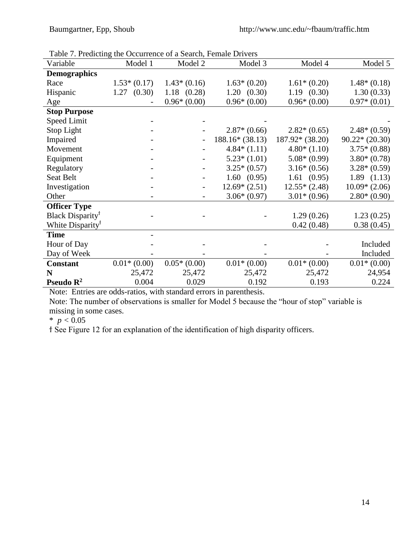| Table 7. Predicting the Occurrence of a Search, Female Drivers |                |                 |                  |                  |                 |
|----------------------------------------------------------------|----------------|-----------------|------------------|------------------|-----------------|
| Variable                                                       | Model 1        | Model 2         | Model 3          | Model 4          | Model 5         |
| <b>Demographics</b>                                            |                |                 |                  |                  |                 |
| Race                                                           | $1.53*(0.17)$  | $1.43*(0.16)$   | $1.63*(0.20)$    | $1.61*(0.20)$    | $1.48*(0.18)$   |
| Hispanic                                                       | (0.30)<br>1.27 | $1.18$ $(0.28)$ | 1.20(0.30)       | 1.19(0.30)       | 1.30(0.33)      |
| Age                                                            |                | $0.96*(0.00)$   | $0.96*(0.00)$    | $0.96*(0.00)$    | $0.97*(0.01)$   |
| <b>Stop Purpose</b>                                            |                |                 |                  |                  |                 |
| <b>Speed Limit</b>                                             |                |                 |                  |                  |                 |
| Stop Light                                                     |                |                 | $2.87*(0.66)$    | $2.82*(0.65)$    | $2.48*(0.59)$   |
| Impaired                                                       |                |                 | $188.16*(38.13)$ | $187.92*(38.20)$ | $90.22*(20.30)$ |
| Movement                                                       |                |                 | $4.84*(1.11)$    | $4.80*(1.10)$    | $3.75*(0.88)$   |
| Equipment                                                      |                |                 | $5.23*(1.01)$    | $5.08*(0.99)$    | $3.80*(0.78)$   |
| Regulatory                                                     |                |                 | $3.25*(0.57)$    | $3.16*(0.56)$    | $3.28*(0.59)$   |
| Seat Belt                                                      |                |                 | 1.60(0.95)       | 1.61(0.95)       | 1.89(1.13)      |
| Investigation                                                  |                |                 | $12.69*(2.51)$   | $12.55*(2.48)$   | $10.09*(2.06)$  |
| Other                                                          |                |                 | $3.06*(0.97)$    | $3.01*(0.96)$    | $2.80*(0.90)$   |
| <b>Officer Type</b>                                            |                |                 |                  |                  |                 |
| Black Disparity <sup>†</sup>                                   |                |                 |                  | 1.29(0.26)       | 1.23(0.25)      |
| White Disparity <sup>†</sup>                                   |                |                 |                  | 0.42(0.48)       | 0.38(0.45)      |
| <b>Time</b>                                                    |                |                 |                  |                  |                 |
| Hour of Day                                                    |                |                 |                  |                  | Included        |
| Day of Week                                                    |                |                 |                  |                  | Included        |
| <b>Constant</b>                                                | $0.01*(0.00)$  | $0.05*(0.00)$   | $0.01*(0.00)$    | $0.01*(0.00)$    | $0.01*(0.00)$   |
| N                                                              | 25,472         | 25,472          | 25,472           | 25,472           | 24,954          |
| Pseudo $\mathbb{R}^2$                                          | 0.004          | 0.029           | 0.192            | 0.193            | 0.224           |

Table 7. Predicting the Occurrence of a Search, Female Drivers

Note: Entries are odds-ratios, with standard errors in parenthesis.

Note: The number of observations is smaller for Model 5 because the "hour of stop" variable is missing in some cases.

 $*$  *p* < 0.05

ϯ See Figure 12 for an explanation of the identification of high disparity officers.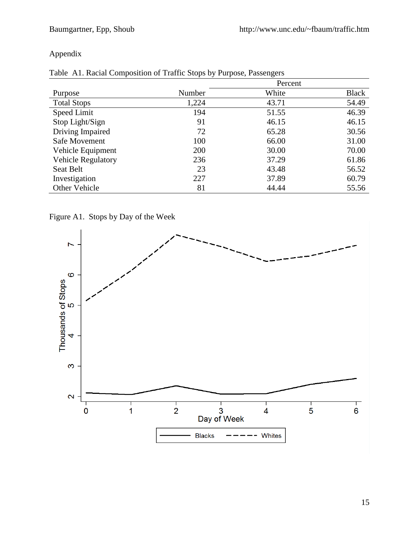### Appendix

| Purpose                   | Number | White | <b>Black</b> |
|---------------------------|--------|-------|--------------|
| <b>Total Stops</b>        | 1,224  | 43.71 | 54.49        |
| Speed Limit               | 194    | 51.55 | 46.39        |
| Stop Light/Sign           | 91     | 46.15 | 46.15        |
| Driving Impaired          | 72     | 65.28 | 30.56        |
| Safe Movement             | 100    | 66.00 | 31.00        |
| Vehicle Equipment         | 200    | 30.00 | 70.00        |
| <b>Vehicle Regulatory</b> | 236    | 37.29 | 61.86        |
| Seat Belt                 | 23     | 43.48 | 56.52        |
| Investigation             | 227    | 37.89 | 60.79        |
| Other Vehicle             | 81     | 44.44 | 55.56        |

|  |  |  |  |  | Table A1. Racial Composition of Traffic Stops by Purpose, Passengers |
|--|--|--|--|--|----------------------------------------------------------------------|
|--|--|--|--|--|----------------------------------------------------------------------|

Figure A1. Stops by Day of the Week

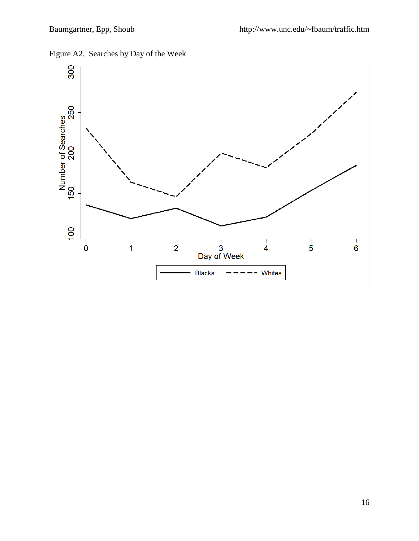Whites



**Blacks** 

# Figure A2. Searches by Day of the Week

 $\overline{6}$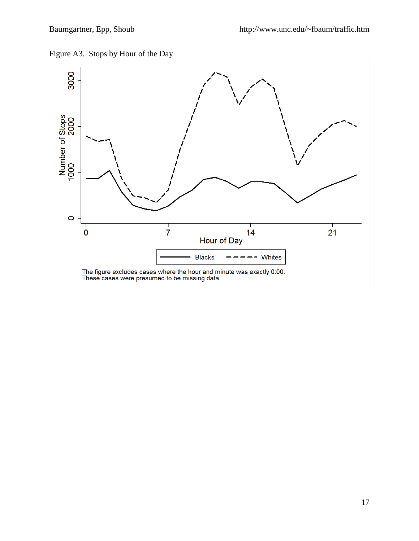



The figure excludes cases where the hour and minute was exactly 0:00.<br>These cases were presumed to be missing data.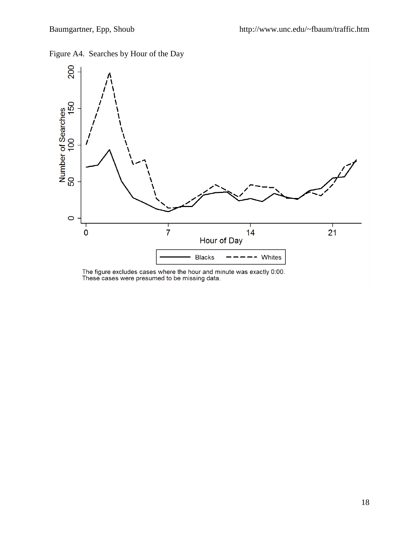Figure A4. Searches by Hour of the Day



The figure excludes cases where the hour and minute was exactly 0:00.<br>These cases were presumed to be missing data.